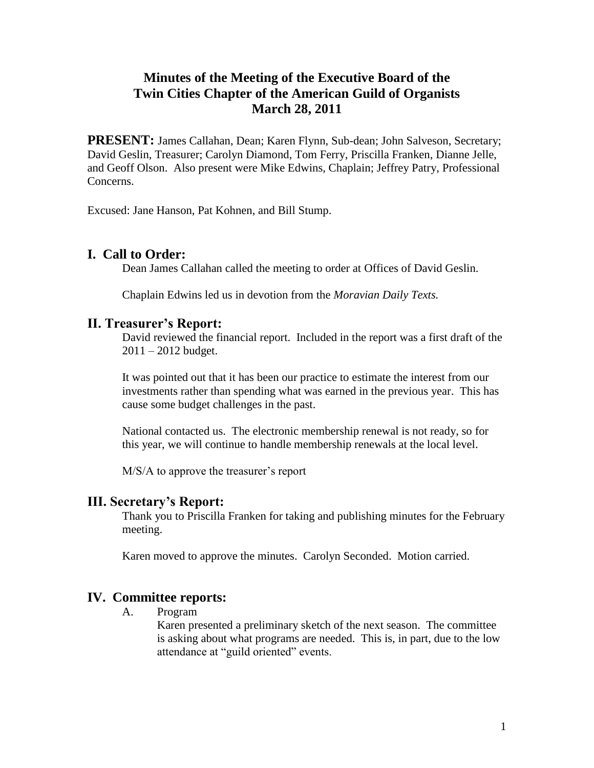# **Minutes of the Meeting of the Executive Board of the Twin Cities Chapter of the American Guild of Organists March 28, 2011**

**PRESENT:** James Callahan, Dean; Karen Flynn, Sub-dean; John Salveson, Secretary; David Geslin, Treasurer; Carolyn Diamond, Tom Ferry, Priscilla Franken, Dianne Jelle, and Geoff Olson. Also present were Mike Edwins, Chaplain; Jeffrey Patry, Professional Concerns.

Excused: Jane Hanson, Pat Kohnen, and Bill Stump.

## **I. Call to Order:**

Dean James Callahan called the meeting to order at Offices of David Geslin.

Chaplain Edwins led us in devotion from the *Moravian Daily Texts.*

#### **II. Treasurer's Report:**

David reviewed the financial report. Included in the report was a first draft of the  $2011 - 2012$  budget.

It was pointed out that it has been our practice to estimate the interest from our investments rather than spending what was earned in the previous year. This has cause some budget challenges in the past.

National contacted us. The electronic membership renewal is not ready, so for this year, we will continue to handle membership renewals at the local level.

M/S/A to approve the treasurer's report

## **III. Secretary's Report:**

Thank you to Priscilla Franken for taking and publishing minutes for the February meeting.

Karen moved to approve the minutes. Carolyn Seconded. Motion carried.

## **IV. Committee reports:**

A. Program

Karen presented a preliminary sketch of the next season. The committee is asking about what programs are needed. This is, in part, due to the low attendance at "guild oriented" events.